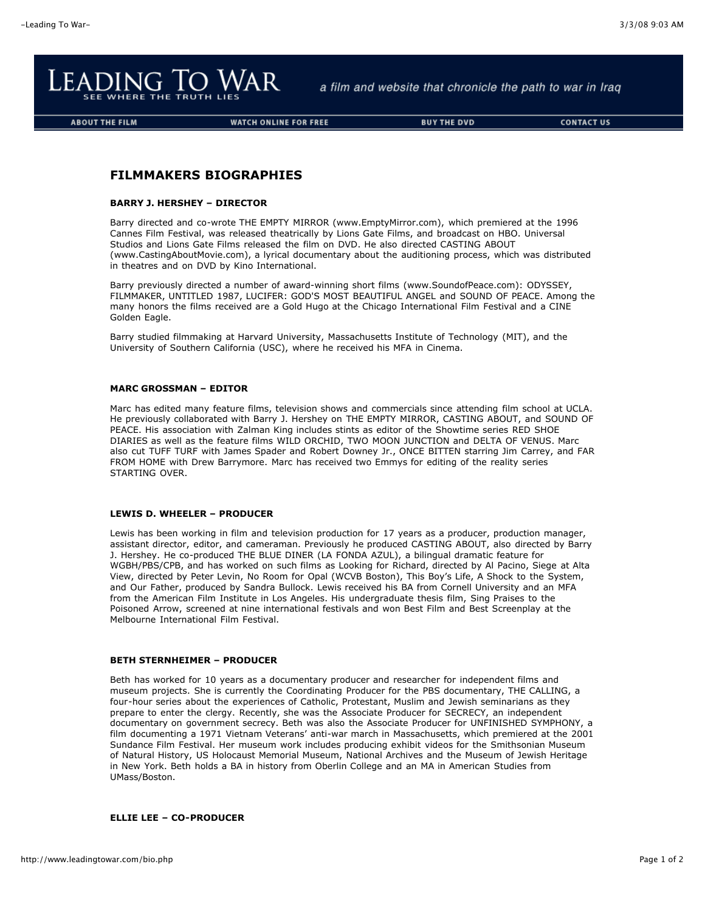

a film and website that chronicle the path to war in Iraq

**ABOUT THE FILM** 

**WATCH ONLINE FOR FREE** 

**BUY THE DVD** 

**CONTACT US** 

# **FILMMAKERS BIOGRAPHIES**

## **BARRY J. HERSHEY – DIRECTOR**

Barry directed and co-wrote THE EMPTY MIRROR (www.EmptyMirror.com), which premiered at the 1996 Cannes Film Festival, was released theatrically by Lions Gate Films, and broadcast on HBO. Universal Studios and Lions Gate Films released the film on DVD. He also directed CASTING ABOUT (www.CastingAboutMovie.com), a lyrical documentary about the auditioning process, which was distributed in theatres and on DVD by Kino International.

Barry previously directed a number of award-winning short films (www.SoundofPeace.com): ODYSSEY, FILMMAKER, UNTITLED 1987, LUCIFER: GOD'S MOST BEAUTIFUL ANGEL and SOUND OF PEACE. Among the many honors the films received are a Gold Hugo at the Chicago International Film Festival and a CINE Golden Eagle.

Barry studied filmmaking at Harvard University, Massachusetts Institute of Technology (MIT), and the University of Southern California (USC), where he received his MFA in Cinema.

## **MARC GROSSMAN – EDITOR**

Marc has edited many feature films, television shows and commercials since attending film school at UCLA. He previously collaborated with Barry J. Hershey on THE EMPTY MIRROR, CASTING ABOUT, and SOUND OF PEACE. His association with Zalman King includes stints as editor of the Showtime series RED SHOE DIARIES as well as the feature films WILD ORCHID, TWO MOON JUNCTION and DELTA OF VENUS. Marc also cut TUFF TURF with James Spader and Robert Downey Jr., ONCE BITTEN starring Jim Carrey, and FAR FROM HOME with Drew Barrymore. Marc has received two Emmys for editing of the reality series STARTING OVER.

## **LEWIS D. WHEELER – PRODUCER**

Lewis has been working in film and television production for 17 years as a producer, production manager, assistant director, editor, and cameraman. Previously he produced CASTING ABOUT, also directed by Barry J. Hershey. He co-produced THE BLUE DINER (LA FONDA AZUL), a bilingual dramatic feature for WGBH/PBS/CPB, and has worked on such films as Looking for Richard, directed by Al Pacino, Siege at Alta View, directed by Peter Levin, No Room for Opal (WCVB Boston), This Boy's Life, A Shock to the System, and Our Father, produced by Sandra Bullock. Lewis received his BA from Cornell University and an MFA from the American Film Institute in Los Angeles. His undergraduate thesis film, Sing Praises to the Poisoned Arrow, screened at nine international festivals and won Best Film and Best Screenplay at the Melbourne International Film Festival.

## **BETH STERNHEIMER – PRODUCER**

Beth has worked for 10 years as a documentary producer and researcher for independent films and museum projects. She is currently the Coordinating Producer for the PBS documentary, THE CALLING, a four-hour series about the experiences of Catholic, Protestant, Muslim and Jewish seminarians as they prepare to enter the clergy. Recently, she was the Associate Producer for SECRECY, an independent documentary on government secrecy. Beth was also the Associate Producer for UNFINISHED SYMPHONY, a film documenting a 1971 Vietnam Veterans' anti-war march in Massachusetts, which premiered at the 2001 Sundance Film Festival. Her museum work includes producing exhibit videos for the Smithsonian Museum of Natural History, US Holocaust Memorial Museum, National Archives and the Museum of Jewish Heritage in New York. Beth holds a BA in history from Oberlin College and an MA in American Studies from UMass/Boston.

## **ELLIE LEE – CO-PRODUCER**